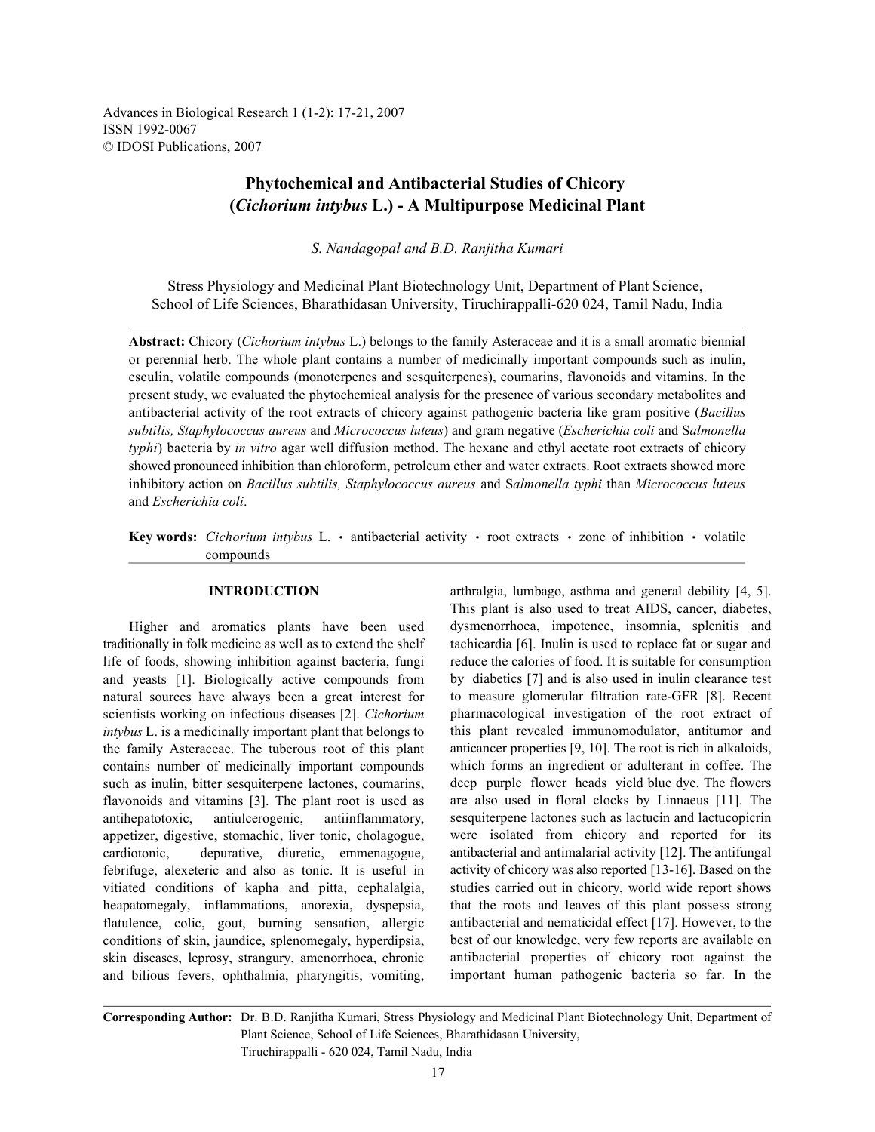Advances in Biological Research 1 (1-2): 17-21, 2007 ISSN 1992-0067 © IDOSI Publications, 2007

# **Phytochemical and Antibacterial Studies of Chicory (***Cichorium intybus* **L.) - A Multipurpose Medicinal Plant**

*S. Nandagopal and B.D. Ranjitha Kumari*

Stress Physiology and Medicinal Plant Biotechnology Unit, Department of Plant Science, School of Life Sciences, Bharathidasan University, Tiruchirappalli-620 024, Tamil Nadu, India

**Abstract:** Chicory (*Cichorium intybus* L.) belongs to the family Asteraceae and it is a small aromatic biennial or perennial herb. The whole plant contains a number of medicinally important compounds such as inulin, esculin, volatile compounds (monoterpenes and sesquiterpenes), coumarins, flavonoids and vitamins. In the present study, we evaluated the phytochemical analysis for the presence of various secondary metabolites and antibacterial activity of the root extracts of chicory against pathogenic bacteria like gram positive (*Bacillus subtilis, Staphylococcus aureus* and *Micrococcus luteus*) and gram negative (*Escherichia coli* and S*almonella typhi*) bacteria by *in vitro* agar well diffusion method. The hexane and ethyl acetate root extracts of chicory showed pronounced inhibition than chloroform, petroleum ether and water extracts. Root extracts showed more inhibitory action on *Bacillus subtilis, Staphylococcus aureus* and S*almonella typhi* than *Micrococcus luteus* and *Escherichia coli*.

Key words: *Cichorium intybus* L. · antibacterial activity · root extracts · zone of inhibition · volatile compounds

Higher and aromatics plants have been used traditionally in folk medicine as well as to extend the shelf life of foods, showing inhibition against bacteria, fungi and yeasts [1]. Biologically active compounds from natural sources have always been a great interest for scientists working on infectious diseases [2]. *Cichorium intybus* L. is a medicinally important plant that belongs to the family Asteraceae. The tuberous root of this plant contains number of medicinally important compounds such as inulin, bitter sesquiterpene lactones, coumarins, flavonoids and vitamins [3]. The plant root is used as antihepatotoxic, antiulcerogenic, antiinflammatory, appetizer, digestive, stomachic, liver tonic, cholagogue, cardiotonic, depurative, diuretic, emmenagogue, febrifuge, alexeteric and also as tonic. It is useful in vitiated conditions of kapha and pitta, cephalalgia, heapatomegaly, inflammations, anorexia, dyspepsia, flatulence, colic, gout, burning sensation, allergic conditions of skin, jaundice, splenomegaly, hyperdipsia, skin diseases, leprosy, strangury, amenorrhoea, chronic and bilious fevers, ophthalmia, pharyngitis, vomiting,

**INTRODUCTION** arthralgia, lumbago, asthma and general debility [4, 5]. This plant is also used to treat AIDS, cancer, diabetes, dysmenorrhoea, impotence, insomnia, splenitis and tachicardia [6]. Inulin is used to replace fat or sugar and reduce the calories of food. It is suitable for consumption by diabetics [7] and is also used in inulin clearance test to measure glomerular filtration rate-GFR [8]. Recent pharmacological investigation of the root extract of this plant revealed immunomodulator, antitumor and anticancer properties [9, 10]. The root is rich in alkaloids, which forms an ingredient or adulterant in coffee. The deep purple flower heads yield blue dye. The flowers are also used in floral clocks by Linnaeus [11]. The sesquiterpene lactones such as lactucin and lactucopicrin were isolated from chicory and reported for its antibacterial and antimalarial activity [12]. The antifungal activity of chicory was also reported [13-16]. Based on the studies carried out in chicory, world wide report shows that the roots and leaves of this plant possess strong antibacterial and nematicidal effect [17]. However, to the best of our knowledge, very few reports are available on antibacterial properties of chicory root against the important human pathogenic bacteria so far. In the

**Corresponding Author:** Dr. B.D. Ranjitha Kumari, Stress Physiology and Medicinal Plant Biotechnology Unit, Department of Plant Science, School of Life Sciences, Bharathidasan University,

Tiruchirappalli - 620 024, Tamil Nadu, India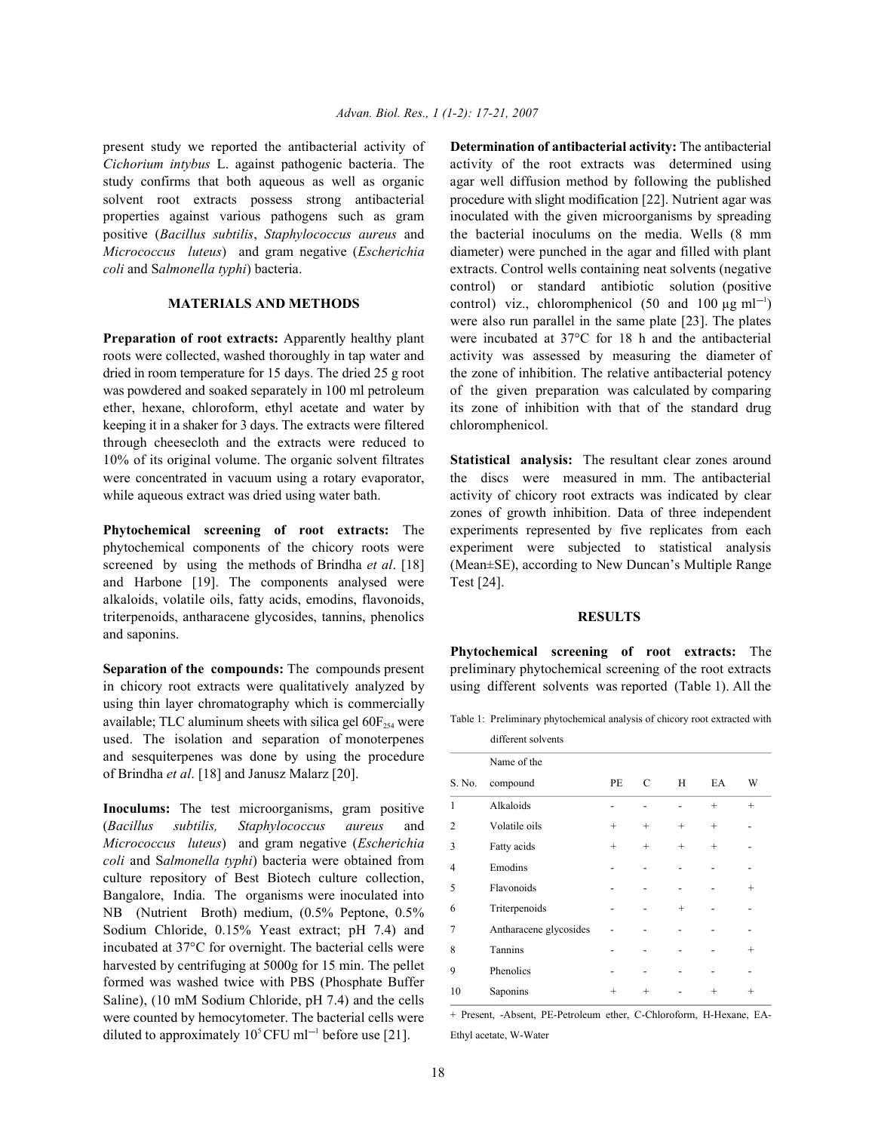present study we reported the antibacterial activity of **Determination of antibacterial activity:** The antibacterial *Cichorium intybus* L. against pathogenic bacteria. The activity of the root extracts was determined using study confirms that both aqueous as well as organic agar well diffusion method by following the published solvent root extracts possess strong antibacterial procedure with slight modification [22]. Nutrient agar was properties against various pathogens such as gram inoculated with the given microorganisms by spreading positive (*Bacillus subtilis*, *Staphylococcus aureus* and the bacterial inoculums on the media. Wells (8 mm *Micrococcus luteus*) and gram negative (*Escherichia* diameter) were punched in the agar and filled with plant *coli* and Salmonella typhi) bacteria. extracts. Control wells containing neat solvents (negative

roots were collected, washed thoroughly in tap water and activity was assessed by measuring the diameter of dried in room temperature for 15 days. The dried  $25 \text{ g root}$  the zone of inhibition. The relative antibacterial potency was powdered and soaked separately in 100 ml petroleum of the given preparation was calculated by comparing ether, hexane, chloroform, ethyl acetate and water by its zone of inhibition with that of the standard drug keeping it in a shaker for 3 days. The extracts were filtered chloromphenicol. through cheesecloth and the extracts were reduced to 10% of its original volume. The organic solvent filtrates **Statistical analysis:** The resultant clear zones around were concentrated in vacuum using a rotary evaporator, the discs were measured in mm. The antibacterial while aqueous extract was dried using water bath. activity of chicory root extracts was indicated by clear

phytochemical components of the chicory roots were experiment were subjected to statistical analysis screened by using the methods of Brindha *et al*. [18] (Mean±SE), according to New Duncan's Multiple Range and Harbone [19]. The components analysed were Test [24]. alkaloids, volatile oils, fatty acids, emodins, flavonoids, triterpenoids, antharacene glycosides, tannins, phenolics **RESULTS** and saponins.

in chicory root extracts were qualitatively analyzed by using different solvents was reported (Table 1). All the using thin layer chromatography which is commercially available; TLC aluminum sheets with silica gel  $60F_{254}$  were used. The isolation and separation of monoterpenes and sesquiterpenes was done by using the procedure of Brindha *et al*. [18] and Janusz Malarz [20].

**Inoculums:** The test microorganisms, gram positive (*Bacillus subtilis, Staphylococcus aureus* and *Micrococcus luteus*) and gram negative (*Escherichia coli* and S*almonella typhi*) bacteria were obtained from culture repository of Best Biotech culture collection, Bangalore, India. The organisms were inoculated into NB (Nutrient Broth) medium, (0.5% Peptone, 0.5% Sodium Chloride, 0.15% Yeast extract; pH 7.4) and incubated at 37°C for overnight. The bacterial cells were harvested by centrifuging at 5000g for 15 min. The pellet formed was washed twice with PBS (Phosphate Buffer Saline), (10 mM Sodium Chloride, pH 7.4) and the cells were counted by hemocytometer. The bacterial cells were diluted to approximately  $10^5$  CFU ml<sup>-1</sup> before use [21].

**MATERIALS AND METHODS** control) viz., chloromphenicol (50 and 100  $\mu$ g ml<sup>-1</sup>) **Preparation of root extracts:** Apparently healthy plant were incubated at 37°C for 18 h and the antibacterial control) or standard antibiotic solution (positive were also run parallel in the same plate [23]. The plates

**Phytochemical screening of root extracts:** The experiments represented by five replicates from each zones of growth inhibition. Data of three independent

**Separation of the compounds:** The compounds present preliminary phytochemical screening of the root extracts **Phytochemical screening of root extracts:** The

Table 1: Preliminary phytochemical analysis of chicory root extracted with

|                | different solvents     |                    |        |        |        |                    |
|----------------|------------------------|--------------------|--------|--------|--------|--------------------|
|                | Name of the            |                    |        |        |        |                    |
| S. No.         | compound               | PE                 | C      | H      | EA     | W                  |
| $\mathbf{1}$   | Alkaloids              |                    |        |        | $^{+}$ | $\ddot{}$          |
| $\mathfrak{2}$ | Volatile oils          | $^{+}$             | $^{+}$ | $^{+}$ | $^{+}$ |                    |
| 3              | Fatty acids            | $^{+}$             | $^{+}$ | $^{+}$ | $^{+}$ |                    |
| 4              | Emodins                |                    |        |        |        |                    |
| 5              | Flavonoids             |                    |        |        |        | $\hspace{0.1mm} +$ |
| 6              | Triterpenoids          |                    |        | $^{+}$ |        |                    |
| 7              | Antharacene glycosides |                    |        |        |        |                    |
| 8              | Tannins                |                    |        |        |        | $^{+}$             |
| 9              | Phenolics              |                    |        |        |        |                    |
| 10             | Saponins               | $\hspace{0.1mm} +$ | $^{+}$ |        | $^{+}$ | $^{+}$             |

+ Present, -Absent, PE-Petroleum ether, C-Chloroform, H-Hexane, EA-Ethyl acetate, W-Water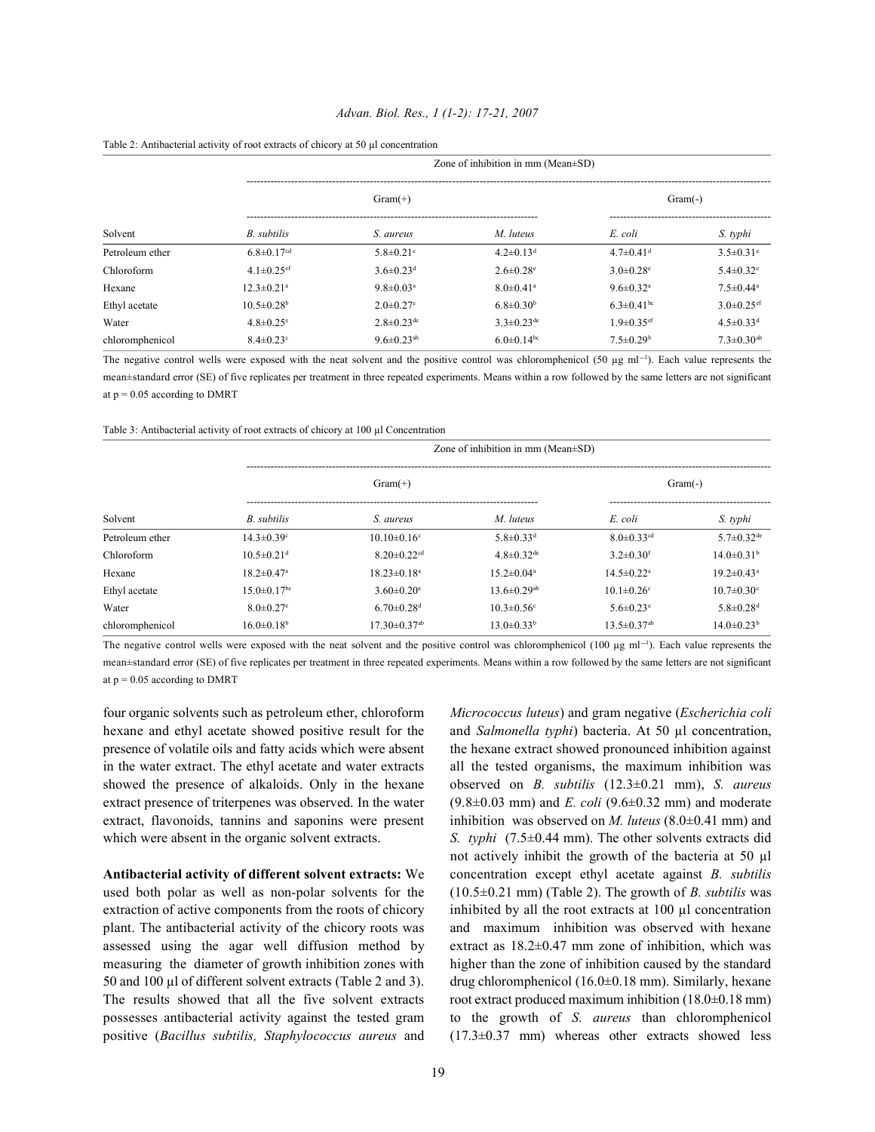### *Advan. Biol. Res., 1 (1-2): 17-21, 2007*

|                 | Zone of inhibition in mm ( $Mean \pm SD$ ) |                              |                              |                              |                              |  |  |  |
|-----------------|--------------------------------------------|------------------------------|------------------------------|------------------------------|------------------------------|--|--|--|
|                 |                                            | $Gram(+)$                    |                              | $Gram(-)$                    |                              |  |  |  |
| Solvent         | B. subtilis                                | S. aureus                    | M. luteus                    | E. coli                      | S. typhi                     |  |  |  |
| Petroleum ether | $6.8 \pm 0.17$ <sup>cd</sup>               | $5.8 \pm 0.21$ °             | $4.2 \pm 0.13$ <sup>d</sup>  | $4.7 \pm 0.41$ <sup>d</sup>  | $3.5 \pm 0.31$ <sup>e</sup>  |  |  |  |
| Chloroform      | $4.1 \pm 0.25$ <sup>ef</sup>               | $3.6 \pm 0.23$ <sup>d</sup>  | $2.6 \pm 0.28$ <sup>e</sup>  | $3.0 \pm 0.28$ <sup>e</sup>  | $5.4 \pm 0.32$ <sup>c</sup>  |  |  |  |
| Hexane          | $12.3 \pm 0.21$ <sup>a</sup>               | $9.8 \pm 0.03$ <sup>a</sup>  | $8.0 \pm 0.41$ <sup>a</sup>  | $9.6 \pm 0.32$ <sup>a</sup>  | $7.5 \pm 0.44^a$             |  |  |  |
| Ethyl acetate   | $10.5 \pm 0.28$ <sup>b</sup>               | $2.0 \pm 0.27$ <sup>e</sup>  | $6.8 \pm 0.30^b$             | 6.3 $\pm$ 0.41 <sup>bc</sup> | $3.0 \pm 0.25$ <sup>ef</sup> |  |  |  |
| Water           | $4.8 \pm 0.25$ <sup>e</sup>                | $2.8 \pm 0.23$ <sup>de</sup> | $3.3 \pm 0.23$ <sup>de</sup> | $1.9 \pm 0.35$ ef            | $4.5 \pm 0.33$ <sup>d</sup>  |  |  |  |
| chloromphenicol | $8.4 \pm 0.23$ <sup>c</sup>                | $9.6 \pm 0.23$ <sup>ab</sup> | 6.0 $\pm$ 0.14 <sup>bc</sup> | $7.5 \pm 0.29$ <sup>b</sup>  | $7.3 \pm 0.30$ <sup>ab</sup> |  |  |  |

The negative control wells were exposed with the neat solvent and the positive control was chloromphenicol (50  $\mu$ g ml<sup>-1</sup>). Each value represents the mean±standard error (SE) of five replicates per treatment in three repeated experiments. Means within a row followed by the same letters are not significant at  $p = 0.05$  according to DMRT

Table 3: Antibacterial activity of root extracts of chicory at 100 µl Concentration

|                 | Zone of inhibition in mm $(Mean \pm SD)$ |                                |                               |                               |                              |  |  |
|-----------------|------------------------------------------|--------------------------------|-------------------------------|-------------------------------|------------------------------|--|--|
|                 | $Gram(+)$                                |                                |                               | $Gram(-)$                     |                              |  |  |
| Solvent         | B. subtilis                              | S. aureus                      | M. luteus                     | E. coli                       | S. typhi                     |  |  |
| Petroleum ether | $14.3 \pm 0.39$ <sup>c</sup>             | $10.10 \pm 0.16$ <sup>c</sup>  | $5.8 \pm 0.33$ <sup>d</sup>   | $8.0 \pm 0.33$ <sup>cd</sup>  | 5.7 $\pm$ 0.32 <sup>de</sup> |  |  |
| Chloroform      | $10.5 \pm 0.21$ <sup>d</sup>             | $8.20 \pm 0.22$ <sup>cd</sup>  | $4.8 \pm 0.32$ <sup>de</sup>  | $3.2 \pm 0.30$ <sup>f</sup>   | $14.0\pm0.31b$               |  |  |
| Hexane          | $18.2 \pm 0.47$ <sup>a</sup>             | $18.23 \pm 0.18$ <sup>a</sup>  | $15.2 \pm 0.04^a$             | $14.5 \pm 0.22$ <sup>a</sup>  | $19.2 \pm 0.43$ <sup>a</sup> |  |  |
| Ethyl acetate   | $15.0 \pm 0.17$ <sup>bc</sup>            | $3.60 \pm 0.20$ <sup>e</sup>   | 13.6 $\pm$ 0.29 <sup>ab</sup> | $10.1 \pm 0.26$ <sup>c</sup>  | $10.7 \pm 0.30$ °            |  |  |
| Water           | $8.0 \pm 0.27$ <sup>e</sup>              | $6.70 \pm 0.28$ <sup>d</sup>   | $10.3 \pm 0.56$ <sup>c</sup>  | $5.6 \pm 0.23$ <sup>e</sup>   | $5.8 \pm 0.28$ <sup>d</sup>  |  |  |
| chloromphenicol | $16.0 \pm 0.18^b$                        | $17.30 \pm 0.37$ <sup>ab</sup> | $13.0\pm0.33^{b}$             | $13.5 \pm 0.37$ <sup>ab</sup> | $14.0 \pm 0.23^{\mathrm{b}}$ |  |  |

The negative control wells were exposed with the neat solvent and the positive control was chloromphenicol (100  $\mu$ g ml<sup>-1</sup>). Each value represents the mean±standard error (SE) of five replicates per treatment in three repeated experiments. Means within a row followed by the same letters are not significant at  $p = 0.05$  according to DMRT

in the water extract. The ethyl acetate and water extracts all the tested organisms, the maximum inhibition was

used both polar as well as non-polar solvents for the (10.5±0.21 mm) (Table 2). The growth of *B. subtilis* was extraction of active components from the roots of chicory inhibited by all the root extracts at 100 µl concentration plant. The antibacterial activity of the chicory roots was and maximum inhibition was observed with hexane assessed using the agar well diffusion method by extract as  $18.2\pm0.47$  mm zone of inhibition, which was measuring the diameter of growth inhibition zones with higher than the zone of inhibition caused by the standard 50 and 100 µl of different solvent extracts (Table 2 and 3). drug chloromphenicol (16.0±0.18 mm). Similarly, hexane The results showed that all the five solvent extracts root extract produced maximum inhibition  $(18.0\pm0.18 \text{ mm})$ possesses antibacterial activity against the tested gram to the growth of *S. aureus* than chloromphenicol positive (*Bacillus subtilis, Staphylococcus aureus* and (17.3±0.37 mm) whereas other extracts showed less

four organic solvents such as petroleum ether, chloroform *Micrococcus luteus*) and gram negative (*Escherichia coli* hexane and ethyl acetate showed positive result for the and *Salmonella typhi*) bacteria. At 50 µl concentration, presence of volatile oils and fatty acids which were absent the hexane extract showed pronounced inhibition against showed the presence of alkaloids. Only in the hexane observed on *B. subtilis* (12.3±0.21 mm), *S. aureus* extract presence of triterpenes was observed. In the water (9.8±0.03 mm) and *E. coli* (9.6±0.32 mm) and moderate extract, flavonoids, tannins and saponins were present inhibition was observed on *M. luteus* (8.0±0.41 mm) and which were absent in the organic solvent extracts. *S. typhi* (7.5±0.44 mm). The other solvents extracts did **Antibacterial activity of different solvent extracts:** We concentration except ethyl acetate against *B. subtilis* not actively inhibit the growth of the bacteria at 50 µl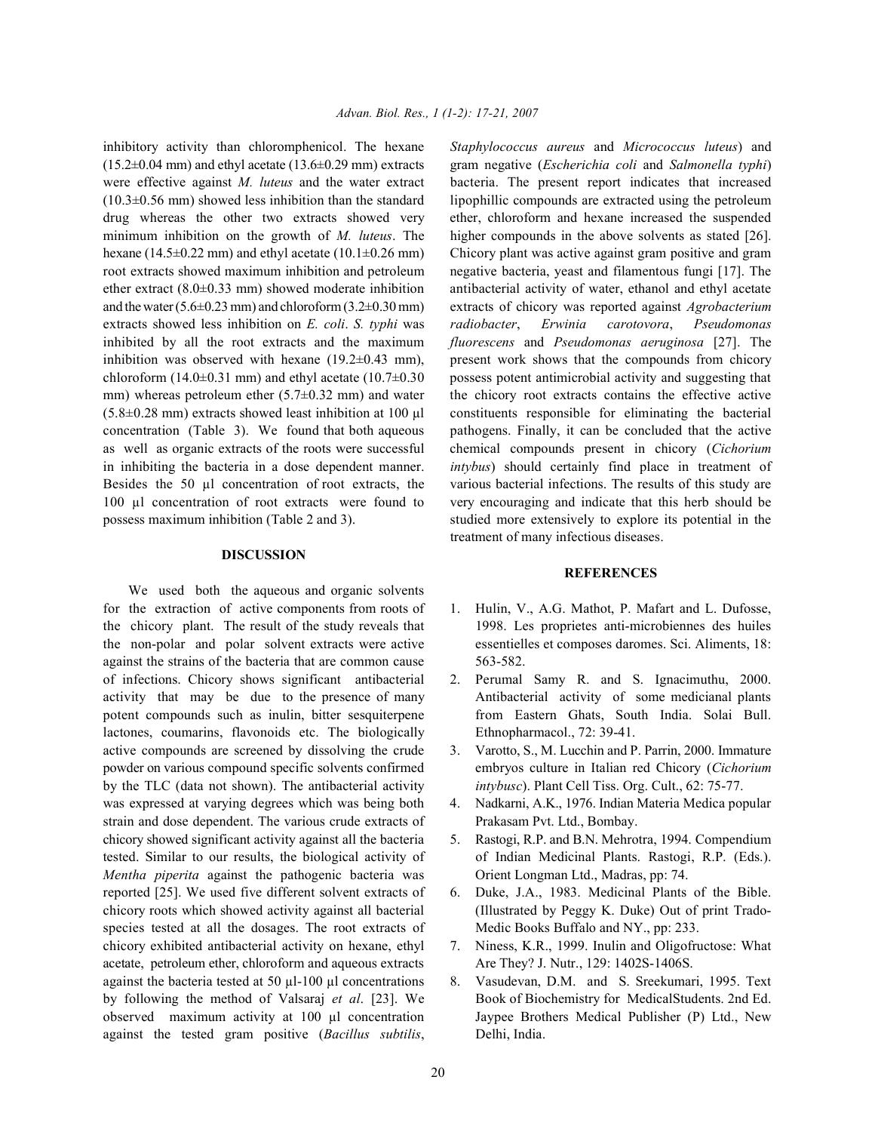(15.2±0.04 mm) and ethyl acetate (13.6±0.29 mm) extracts gram negative (*Escherichia coli* and *Salmonella typhi*) were effective against *M. luteus* and the water extract bacteria. The present report indicates that increased  $(10.3\pm0.56$  mm) showed less inhibition than the standard lipophillic compounds are extracted using the petroleum drug whereas the other two extracts showed very ether, chloroform and hexane increased the suspended minimum inhibition on the growth of *M. luteus*. The higher compounds in the above solvents as stated [26]. hexane (14.5±0.22 mm) and ethyl acetate (10.1±0.26 mm) Chicory plant was active against gram positive and gram root extracts showed maximum inhibition and petroleum negative bacteria, yeast and filamentous fungi [17]. The ether extract (8.0±0.33 mm) showed moderate inhibition antibacterial activity of water, ethanol and ethyl acetate and the water (5.6±0.23 mm) and chloroform (3.2±0.30 mm) extracts of chicory was reported against *Agrobacterium* extracts showed less inhibition on *E. coli*. *S. typhi* was *radiobacter*, *Erwinia carotovora*, *Pseudomonas* inhibited by all the root extracts and the maximum *fluorescens* and *Pseudomonas aeruginosa* [27]. The inhibition was observed with hexane  $(19.2\pm0.43 \text{ mm})$ , present work shows that the compounds from chicory chloroform  $(14.0\pm0.31$  mm) and ethyl acetate  $(10.7\pm0.30$  possess potent antimicrobial activity and suggesting that mm) whereas petroleum ether  $(5.7\pm0.32 \text{ mm})$  and water the chicory root extracts contains the effective active  $(5.8\pm0.28 \text{ mm})$  extracts showed least inhibition at 100  $\mu$ l constituents responsible for eliminating the bacterial concentration (Table 3). We found that both aqueous pathogens. Finally, it can be concluded that the active as well as organic extracts of the roots were successful chemical compounds present in chicory (*Cichorium* in inhibiting the bacteria in a dose dependent manner. *intybus*) should certainly find place in treatment of Besides the 50 µl concentration of root extracts, the various bacterial infections. The results of this study are 100 µl concentration of root extracts were found to very encouraging and indicate that this herb should be possess maximum inhibition (Table 2 and 3). studied more extensively to explore its potential in the

### **DISCUSSION**

We used both the aqueous and organic solvents for the extraction of active components from roots of 1. Hulin, V., A.G. Mathot, P. Mafart and L. Dufosse, the chicory plant. The result of the study reveals that 1998. Les proprietes anti-microbiennes des huiles the non-polar and polar solvent extracts were active essentielles et composes daromes. Sci. Aliments, 18: against the strains of the bacteria that are common cause 563-582. of infections. Chicory shows significant antibacterial 2. Perumal Samy R. and S. Ignacimuthu, 2000. activity that may be due to the presence of many Antibacterial activity of some medicianal plants potent compounds such as inulin, bitter sesquiterpene from Eastern Ghats, South India. Solai Bull. lactones, coumarins, flavonoids etc. The biologically Ethnopharmacol., 72: 39-41. active compounds are screened by dissolving the crude 3. Varotto, S., M. Lucchin and P. Parrin, 2000. Immature powder on various compound specific solvents confirmed embryos culture in Italian red Chicory (*Cichorium* by the TLC (data not shown). The antibacterial activity *intybusc*). Plant Cell Tiss. Org. Cult., 62: 75-77. was expressed at varying degrees which was being both 4. Nadkarni, A.K., 1976. Indian Materia Medica popular strain and dose dependent. The various crude extracts of Prakasam Pvt. Ltd., Bombay. chicory showed significant activity against all the bacteria 5. Rastogi, R.P. and B.N. Mehrotra, 1994. Compendium tested. Similar to our results, the biological activity of of Indian Medicinal Plants. Rastogi, R.P. (Eds.). *Mentha piperita* against the pathogenic bacteria was Orient Longman Ltd., Madras, pp: 74. reported [25]. We used five different solvent extracts of 6. Duke, J.A., 1983. Medicinal Plants of the Bible. chicory roots which showed activity against all bacterial (Illustrated by Peggy K. Duke) Out of print Tradospecies tested at all the dosages. The root extracts of Medic Books Buffalo and NY., pp: 233. chicory exhibited antibacterial activity on hexane, ethyl 7. Niness, K.R., 1999. Inulin and Oligofructose: What acetate, petroleum ether, chloroform and aqueous extracts Are They? J. Nutr., 129: 1402S-1406S. against the bacteria tested at 50 µl-100 µl concentrations 8. Vasudevan, D.M. and S. Sreekumari, 1995. Text by following the method of Valsaraj *et al*. [23]. We Book of Biochemistry for MedicalStudents. 2nd Ed. observed maximum activity at 100 µl concentration Jaypee Brothers Medical Publisher (P) Ltd., New against the tested gram positive (*Bacillus subtilis*, Delhi, India.

inhibitory activity than chloromphenicol. The hexane *Staphylococcus aureus* and *Micrococcus luteus*) and treatment of many infectious diseases.

## **REFERENCES**

- 
- 
- 
- 
- 
- 
- 
-